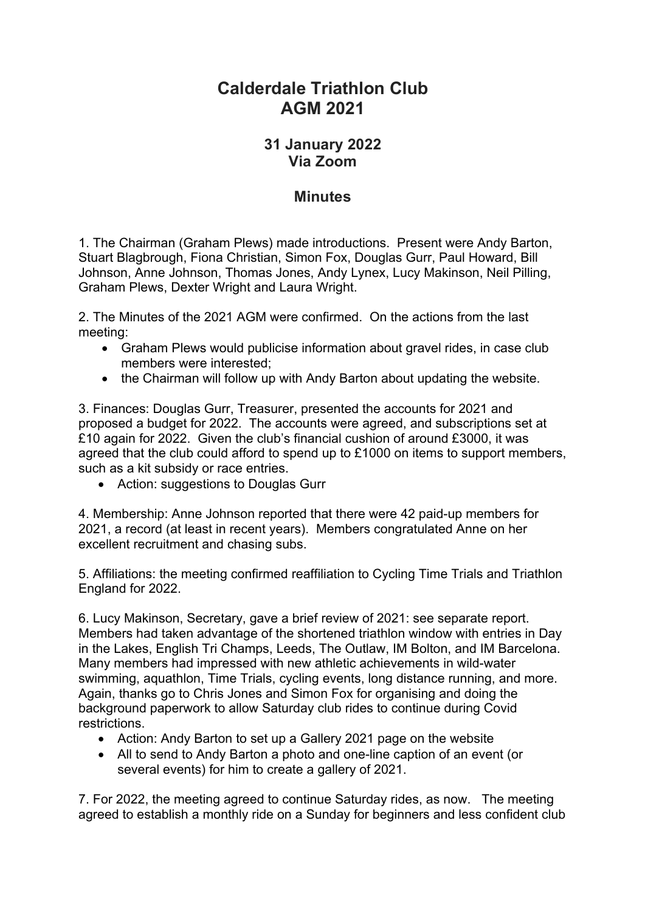## **Calderdale Triathlon Club AGM 2021**

## **31 January 2022 Via Zoom**

## **Minutes**

1. The Chairman (Graham Plews) made introductions. Present were Andy Barton, Stuart Blagbrough, Fiona Christian, Simon Fox, Douglas Gurr, Paul Howard, Bill Johnson, Anne Johnson, Thomas Jones, Andy Lynex, Lucy Makinson, Neil Pilling, Graham Plews, Dexter Wright and Laura Wright.

2. The Minutes of the 2021 AGM were confirmed. On the actions from the last meeting:

- Graham Plews would publicise information about gravel rides, in case club members were interested;
- the Chairman will follow up with Andy Barton about updating the website.

3. Finances: Douglas Gurr, Treasurer, presented the accounts for 2021 and proposed a budget for 2022. The accounts were agreed, and subscriptions set at £10 again for 2022. Given the club's financial cushion of around £3000, it was agreed that the club could afford to spend up to £1000 on items to support members, such as a kit subsidy or race entries.

• Action: suggestions to Douglas Gurr

4. Membership: Anne Johnson reported that there were 42 paid-up members for 2021, a record (at least in recent years). Members congratulated Anne on her excellent recruitment and chasing subs.

5. Affiliations: the meeting confirmed reaffiliation to Cycling Time Trials and Triathlon England for 2022.

6. Lucy Makinson, Secretary, gave a brief review of 2021: see separate report. Members had taken advantage of the shortened triathlon window with entries in Day in the Lakes, English Tri Champs, Leeds, The Outlaw, IM Bolton, and IM Barcelona. Many members had impressed with new athletic achievements in wild-water swimming, aquathlon, Time Trials, cycling events, long distance running, and more. Again, thanks go to Chris Jones and Simon Fox for organising and doing the background paperwork to allow Saturday club rides to continue during Covid restrictions.

- Action: Andy Barton to set up a Gallery 2021 page on the website
- All to send to Andy Barton a photo and one-line caption of an event (or several events) for him to create a gallery of 2021.

7. For 2022, the meeting agreed to continue Saturday rides, as now. The meeting agreed to establish a monthly ride on a Sunday for beginners and less confident club